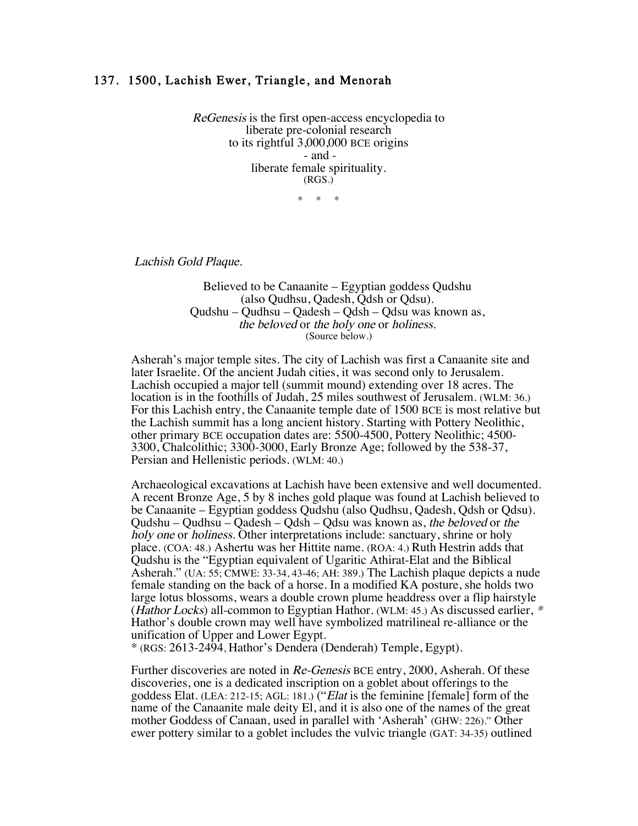## 137. 1500, Lachish Ewer, Triangle, and Menorah

ReGenesis is the first open-access encyclopedia to liberate pre-colonial research to its rightful 3,000,000 BCE origins - and liberate female spirituality. (RGS.)

 $*$  \*

Lachish Gold Plaque.

Believed to be Canaanite – Egyptian goddess Qudshu (also Qudhsu, Qadesh, Qdsh or Qdsu). Qudshu – Qudhsu – Qadesh – Qdsh – Qdsu was known as, the beloved or the holy one or holiness. (Source below.)

Asherah's major temple sites. The city of Lachish was first a Canaanite site and later Israelite. Of the ancient Judah cities, it was second only to Jerusalem. Lachish occupied a major tell (summit mound) extending over 18 acres. The location is in the foothills of Judah, 25 miles southwest of Jerusalem. (WLM: 36.) For this Lachish entry, the Canaanite temple date of 1500 BCE is most relative but the Lachish summit has a long ancient history. Starting with Pottery Neolithic, other primary BCE occupation dates are: 5500-4500, Pottery Neolithic; 4500- 3300, Chalcolithic; 3300-3000, Early Bronze Age; followed by the 538-37, Persian and Hellenistic periods. (WLM: 40.)

Archaeological excavations at Lachish have been extensive and well documented. A recent Bronze Age, 5 by 8 inches gold plaque was found at Lachish believed to be Canaanite – Egyptian goddess Qudshu (also Qudhsu, Qadesh, Qdsh or Qdsu). Qudshu – Qudhsu – Qadesh – Qdsh – Qdsu was known as, the beloved or the holy one or holiness. Other interpretations include: sanctuary, shrine or holy place. (COA: 48.) Ashertu was her Hittite name. (ROA: 4.) Ruth Hestrin adds that Qudshu is the "Egyptian equivalent of Ugaritic Athirat-Elat and the Biblical Asherah." (UA: 55; CMWE: 33-34, 43-46; AH: 389.) The Lachish plaque depicts a nude female standing on the back of a horse. In a modified KA posture, she holds two large lotus blossoms, wears a double crown plume headdress over a flip hairstyle (Hathor Locks) all-common to Egyptian Hathor. (WLM: 45.) As discussed earlier, \* Hathor's double crown may well have symbolized matrilineal re-alliance or the unification of Upper and Lower Egypt.

\* (RGS: 2613-2494, Hathor's Dendera (Denderah) Temple, Egypt).

Further discoveries are noted in Re-Genesis BCE entry, 2000, Asherah. Of these discoveries, one is a dedicated inscription on a goblet about offerings to the goddess Elat. (LEA: 212-15; AGL: 181.) ("Elat is the feminine [female] form of the name of the Canaanite male deity El, and it is also one of the names of the great mother Goddess of Canaan, used in parallel with 'Asherah' (GHW: 226)." Other ewer pottery similar to a goblet includes the vulvic triangle (GAT: 34-35) outlined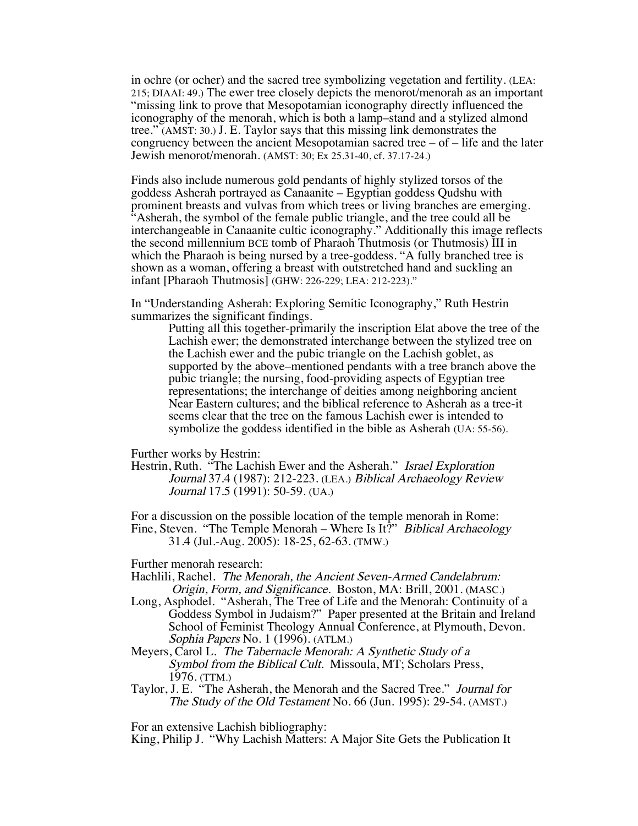in ochre (or ocher) and the sacred tree symbolizing vegetation and fertility. (LEA: 215; DIAAI: 49.) The ewer tree closely depicts the menorot/menorah as an important "missing link to prove that Mesopotamian iconography directly influenced the iconography of the menorah, which is both a lamp–stand and a stylized almond tree." (AMST: 30.) J. E. Taylor says that this missing link demonstrates the congruency between the ancient Mesopotamian sacred tree  $-$  of  $-$  life and the later Jewish menorot/menorah. (AMST: 30; Ex 25.31-40, cf. 37.17-24.)

Finds also include numerous gold pendants of highly stylized torsos of the goddess Asherah portrayed as Canaanite – Egyptian goddess Qudshu with prominent breasts and vulvas from which trees or living branches are emerging. "Asherah, the symbol of the female public triangle, and the tree could all be interchangeable in Canaanite cultic iconography." Additionally this image reflects the second millennium BCE tomb of Pharaoh Thutmosis (or Thutmosis) III in which the Pharaoh is being nursed by a tree-goddess. "A fully branched tree is shown as a woman, offering a breast with outstretched hand and suckling an infant [Pharaoh Thutmosis] (GHW: 226-229; LEA: 212-223)."

In "Understanding Asherah: Exploring Semitic Iconography," Ruth Hestrin summarizes the significant findings.

Putting all this together-primarily the inscription Elat above the tree of the Lachish ewer; the demonstrated interchange between the stylized tree on the Lachish ewer and the pubic triangle on the Lachish goblet, as supported by the above–mentioned pendants with a tree branch above the pubic triangle; the nursing, food-providing aspects of Egyptian tree representations; the interchange of deities among neighboring ancient Near Eastern cultures; and the biblical reference to Asherah as a tree-it seems clear that the tree on the famous Lachish ewer is intended to symbolize the goddess identified in the bible as Asherah (UA: 55-56).

Further works by Hestrin:

Hestrin, Ruth. "The Lachish Ewer and the Asherah." *Israel Exploration* Journal 37.4 (1987): 212-223. (LEA.) Biblical Archaeology Review Journal 17.5 (1991): 50-59. (UA.)

For a discussion on the possible location of the temple menorah in Rome: Fine, Steven. "The Temple Menorah – Where Is It?" Biblical Archaeology 31.4 (Jul.-Aug. 2005): 18-25, 62-63. (TMW.)

Further menorah research:

Hachlili, Rachel. The Menorah, the Ancient Seven-Armed Candelabrum: Origin, Form, and Significance. Boston, MA: Brill, 2001. (MASC.)

- Long, Asphodel. "Asherah, The Tree of Life and the Menorah: Continuity of a Goddess Symbol in Judaism?" Paper presented at the Britain and Ireland School of Feminist Theology Annual Conference, at Plymouth, Devon. Sophia Papers No. 1 (1996). (ATLM.)
- Meyers, Carol L. The Tabernacle Menorah: A Synthetic Study of a Symbol from the Biblical Cult. Missoula, MT; Scholars Press, 1976. (TTM.)
- Taylor, J. E. "The Asherah, the Menorah and the Sacred Tree." Journal for The Study of the Old Testament No. 66 (Jun. 1995): 29-54. (AMST.)

For an extensive Lachish bibliography:

King, Philip J. "Why Lachish Matters: A Major Site Gets the Publication It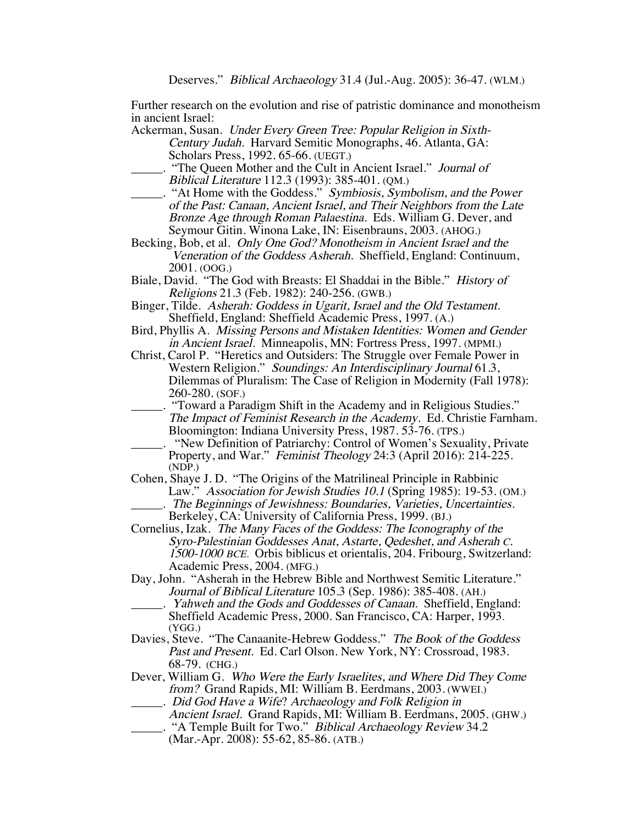Further research on the evolution and rise of patristic dominance and monotheism in ancient Israel:

- Ackerman, Susan. Under Every Green Tree: Popular Religion in Sixth-Century Judah. Harvard Semitic Monographs, 46. Atlanta, GA: Scholars Press, 1992. 65-66. (UEGT.)
- \_\_\_\_\_. "The Queen Mother and the Cult in Ancient Israel." Journal of Biblical Literature 112.3 (1993): 385-401. (QM.)
- ... "At Home with the Goddess." Symbiosis, Symbolism, and the Power of the Past: Canaan, Ancient Israel, and Their Neighbors from the Late Bronze Age through Roman Palaestina. Eds. William G. Dever, and Seymour Gitin. Winona Lake, IN: Eisenbrauns, 2003. (AHOG.)
- Becking, Bob, et al. Only One God? Monotheism in Ancient Israel and the Veneration of the Goddess Asherah. Sheffield, England: Continuum, 2001. (OOG.)
- Biale, David. "The God with Breasts: El Shaddai in the Bible." History of Religions 21.3 (Feb. 1982): 240-256. (GWB.)
- Binger, Tilde. Asherah: Goddess in Ugarit, Israel and the Old Testament. Sheffield, England: Sheffield Academic Press, 1997. (A.)
- Bird, Phyllis A. Missing Persons and Mistaken Identities: Women and Gender in Ancient Israel. Minneapolis, MN: Fortress Press, 1997. (MPMI.)
- Christ, Carol P. "Heretics and Outsiders: The Struggle over Female Power in Western Religion." Soundings: An Interdisciplinary Journal 61.3, Dilemmas of Pluralism: The Case of Religion in Modernity (Fall 1978): 260-280. (SOF.)
	- \_\_\_\_\_. "Toward a Paradigm Shift in the Academy and in Religious Studies." The Impact of Feminist Research in the Academy. Ed. Christie Farnham. Bloomington: Indiana University Press, 1987. 53-76. (TPS.)
- "New Definition of Patriarchy: Control of Women's Sexuality, Private Property, and War." Feminist Theology 24:3 (April 2016): 214-225. (NDP.)
- Cohen, Shaye J. D. "The Origins of the Matrilineal Principle in Rabbinic Law." Association for Jewish Studies 10.1 (Spring 1985): 19-53. (OM.)
	- The Beginnings of Jewishness: Boundaries, Varieties, Uncertainties. Berkeley, CA: University of California Press, 1999. (BJ.)
- Cornelius, Izak. The Many Faces of the Goddess: The Iconography of the Syro-Palestinian Goddesses Anat, Astarte, Qedeshet, and Asherah C. 1500-1000 BCE. Orbis biblicus et orientalis, 204. Fribourg, Switzerland: Academic Press, 2004. (MFG.)
- Day, John. "Asherah in the Hebrew Bible and Northwest Semitic Literature." Journal of Biblical Literature 105.3 (Sep. 1986): 385-408. (AH.)
	- Yahweh and the Gods and Goddesses of Canaan. Sheffield, England: Sheffield Academic Press, 2000. San Francisco, CA: Harper, 1993. (YGG.)
- Davies, Steve. "The Canaanite-Hebrew Goddess." The Book of the Goddess Past and Present. Ed. Carl Olson. New York, NY: Crossroad, 1983. 68-79. (CHG.)
- Dever, William G. Who Were the Early Israelites, and Where Did They Come from? Grand Rapids, MI: William B. Eerdmans, 2003. (WWEI.) \_\_\_\_\_. Did God Have a Wife? Archaeology and Folk Religion in
- Ancient Israel. Grand Rapids, MI: William B. Eerdmans, 2005. (GHW.) ... "A Temple Built for Two." Biblical Archaeology Review 34.2
	- (Mar.-Apr. 2008): 55-62, 85-86. (ATB.)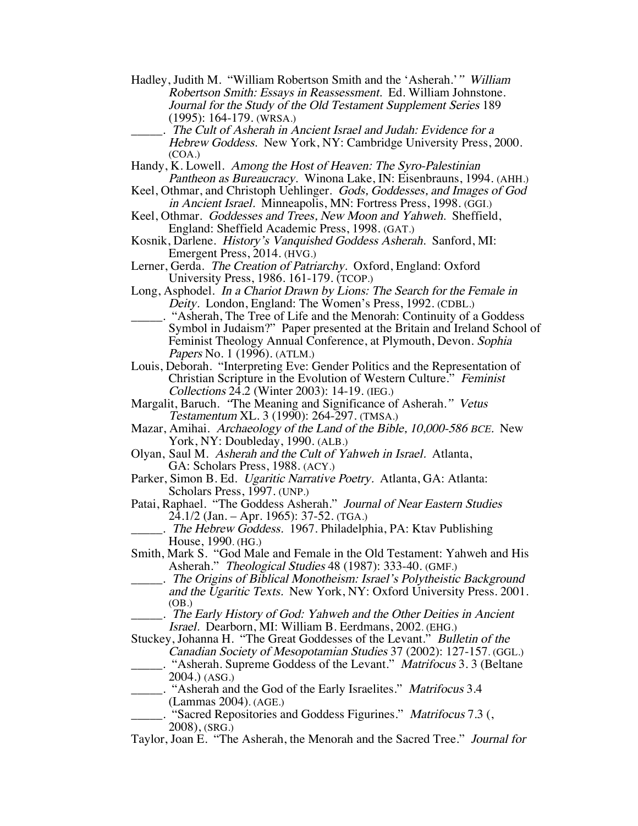- Hadley, Judith M. "William Robertson Smith and the 'Asherah.'" William Robertson Smith: Essays in Reassessment. Ed. William Johnstone. Journal for the Study of the Old Testament Supplement Series 189 (1995): 164-179. (WRSA.)
	- \_\_\_\_\_. The Cult of Asherah in Ancient Israel and Judah: Evidence for <sup>a</sup> Hebrew Goddess. New York, NY: Cambridge University Press, 2000. (COA.)
- Handy, K. Lowell. Among the Host of Heaven: The Syro-Palestinian Pantheon as Bureaucracy. Winona Lake, IN: Eisenbrauns, 1994. (AHH.)
- Keel, Othmar, and Christoph Uehlinger. Gods, Goddesses, and Images of God in Ancient Israel. Minneapolis, MN: Fortress Press, 1998. (GGI.)
- Keel, Othmar. Goddesses and Trees, New Moon and Yahweh. Sheffield, England: Sheffield Academic Press, 1998. (GAT.)
- Kosnik, Darlene. History's Vanquished Goddess Asherah. Sanford, MI: Emergent Press, 2014. (HVG.)

Lerner, Gerda. The Creation of Patriarchy. Oxford, England: Oxford University Press, 1986. 161-179. (TCOP.)

- Long, Asphodel. In a Chariot Drawn by Lions: The Search for the Female in Deity. London, England: The Women's Press, 1992. (CDBL.)
	- \_\_\_\_\_. "Asherah, The Tree of Life and the Menorah: Continuity of a Goddess Symbol in Judaism?" Paper presented at the Britain and Ireland School of Feminist Theology Annual Conference, at Plymouth, Devon. Sophia Papers No. 1 (1996). (ATLM.)

Louis, Deborah. "Interpreting Eve: Gender Politics and the Representation of Christian Scripture in the Evolution of Western Culture." Feminist Collections 24.2 (Winter 2003): 14-19. (IEG.)

- Margalit, Baruch. "The Meaning and Significance of Asherah." Vetus Testamentum XL. 3 (1990): 264-297. (TMSA.)
- Mazar, Amihai. Archaeology of the Land of the Bible, 10,000-586 BCE. New York, NY: Doubleday, 1990. (ALB.)
- Olyan, Saul M. Asherah and the Cult of Yahweh in Israel. Atlanta, GA: Scholars Press, 1988. (ACY.)
- Parker, Simon B. Ed. Ugaritic Narrative Poetry. Atlanta, GA: Atlanta: Scholars Press, 1997. (UNP.)
- Patai, Raphael. "The Goddess Asherah." Journal of Near Eastern Studies 24.1/2 (Jan. – Apr. 1965): 37-52. (TGA.)

. The Hebrew Goddess. 1967. Philadelphia, PA: Ktav Publishing House, 1990. (HG.)

- Smith, Mark S. "God Male and Female in the Old Testament: Yahweh and His Asherah." Theological Studies 48 (1987): 333-40. (GMF.)
- \_\_\_\_\_. The Origins of Biblical Monotheism: Israel's Polytheistic Background and the Ugaritic Texts. New York, NY: Oxford University Press. 2001. (OB.)

\_\_\_\_\_. The Early History of God: Yahweh and the Other Deities in Ancient Israel. Dearborn, MI: William B. Eerdmans, 2002. (EHG.)

- Stuckey, Johanna H. "The Great Goddesses of the Levant." Bulletin of the Canadian Society of Mesopotamian Studies 37 (2002): 127-157. (GGL.) \_\_\_\_\_. "Asherah. Supreme Goddess of the Levant." Matrifocus 3. 3 (Beltane 2004.) (ASG.)
- . "Asherah and the God of the Early Israelites." *Matrifocus* 3.4 (Lammas 2004). (AGE.)
- \_\_\_\_\_. "Sacred Repositories and Goddess Figurines." Matrifocus 7.3 (, 2008), (SRG.)
- Taylor, Joan E. "The Asherah, the Menorah and the Sacred Tree." Journal for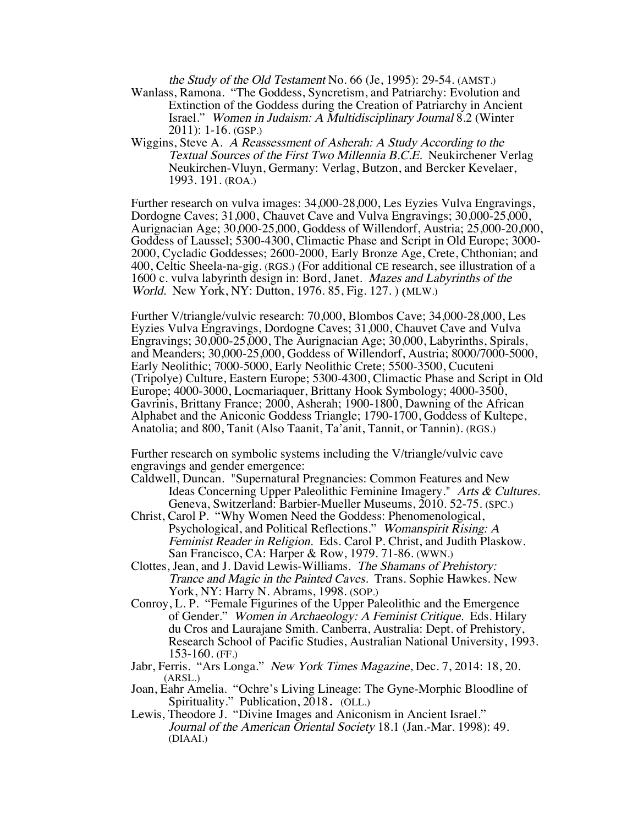the Study of the Old Testament No. 66 (Je, 1995): 29-54. (AMST.)

- Wanlass, Ramona. "The Goddess, Syncretism, and Patriarchy: Evolution and Extinction of the Goddess during the Creation of Patriarchy in Ancient Israel." Women in Judaism: A Multidisciplinary Journal 8.2 (Winter 2011): 1-16. (GSP.)
- Wiggins, Steve A. A Reassessment of Asherah: A Study According to the Textual Sources of the First Two Millennia B.C.E. Neukirchener Verlag Neukirchen-Vluyn, Germany: Verlag, Butzon, and Bercker Kevelaer, 1993. 191. (ROA.)

Further research on vulva images: 34,000-28,000, Les Eyzies Vulva Engravings, Dordogne Caves; 31,000, Chauvet Cave and Vulva Engravings; 30,000-25,000, Aurignacian Age; 30,000-25,000, Goddess of Willendorf, Austria; 25,000-20,000, Goddess of Laussel; 5300-4300, Climactic Phase and Script in Old Europe; 3000- 2000, Cycladic Goddesses; 2600-2000, Early Bronze Age, Crete, Chthonian; and 400, Celtic Sheela-na-gig. (RGS.) (For additional CE research, see illustration of a 1600 c. vulva labyrinth design in: Bord, Janet. Mazes and Labyrinths of the World. New York, NY: Dutton, 1976. 85, Fig. 127. ) (MLW.)

Further V/triangle/vulvic research: 70,000, Blombos Cave; 34,000-28,000, Les Eyzies Vulva Engravings, Dordogne Caves; 31,000, Chauvet Cave and Vulva Engravings; 30,000-25,000, The Aurignacian Age; 30,000, Labyrinths, Spirals, and Meanders; 30,000-25,000, Goddess of Willendorf, Austria; 8000/7000-5000, Early Neolithic; 7000-5000, Early Neolithic Crete; 5500-3500, Cucuteni (Tripolye) Culture, Eastern Europe; 5300-4300, Climactic Phase and Script in Old Europe; 4000-3000, Locmariaquer, Brittany Hook Symbology; 4000-3500, Gavrinis, Brittany France; 2000, Asherah; 1900-1800, Dawning of the African Alphabet and the Aniconic Goddess Triangle; 1790-1700, Goddess of Kultepe, Anatolia; and 800, Tanit (Also Taanit, Ta'anit, Tannit, or Tannin). (RGS.)

Further research on symbolic systems including the V/triangle/vulvic cave engravings and gender emergence:

- Caldwell, Duncan. "Supernatural Pregnancies: Common Features and New Ideas Concerning Upper Paleolithic Feminine Imagery." Arts & Cultures. Geneva, Switzerland: Barbier-Mueller Museums, 2010. 52-75. (SPC.)
- Christ, Carol P. "Why Women Need the Goddess: Phenomenological, Psychological, and Political Reflections." Womanspirit Rising: A Feminist Reader in Religion. Eds. Carol P. Christ, and Judith Plaskow. San Francisco, CA: Harper & Row, 1979. 71-86. (WWN.)
- Clottes, Jean, and J. David Lewis-Williams. The Shamans of Prehistory: Trance and Magic in the Painted Caves. Trans. Sophie Hawkes. New York, NY: Harry N. Abrams, 1998. (SOP.)
- Conroy, L. P. "Female Figurines of the Upper Paleolithic and the Emergence of Gender." Women in Archaeology: A Feminist Critique. Eds. Hilary du Cros and Laurajane Smith. Canberra, Australia: Dept. of Prehistory, Research School of Pacific Studies, Australian National University, 1993. 153-160. (FF.)
- Jabr, Ferris. "Ars Longa." New York Times Magazine, Dec. 7, 2014: 18, 20. (ARSL.)
- Joan, Eahr Amelia. "Ochre's Living Lineage: The Gyne-Morphic Bloodline of Spirituality." Publication, 2018. (OLL.)
- Lewis, Theodore J. "Divine Images and Aniconism in Ancient Israel." Journal of the American Oriental Society 18.1 (Jan.-Mar. 1998): 49. (DIAAI.)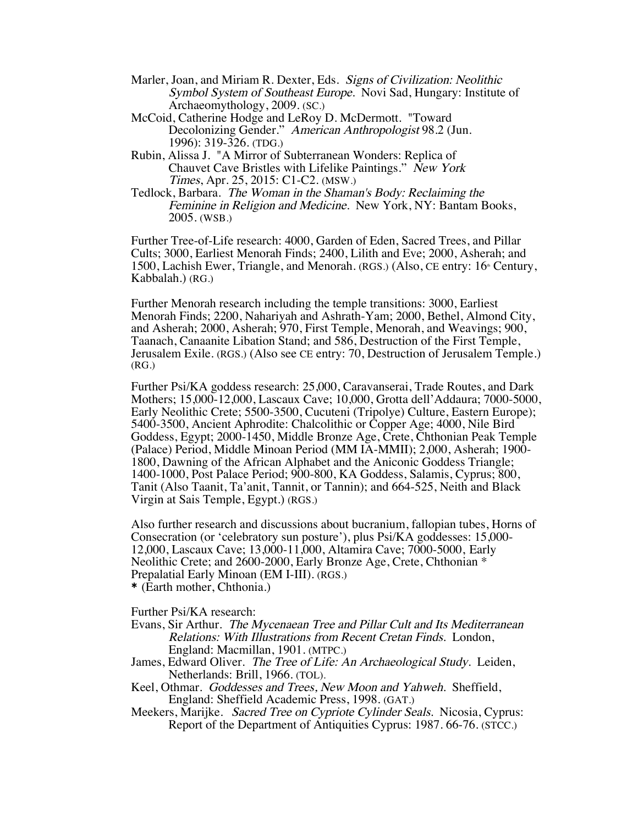- Marler, Joan, and Miriam R. Dexter, Eds. Signs of Civilization: Neolithic Symbol System of Southeast Europe. Novi Sad, Hungary: Institute of Archaeomythology, 2009. (SC.)
- McCoid, Catherine Hodge and LeRoy D. McDermott. "Toward Decolonizing Gender." American Anthropologist 98.2 (Jun. 1996): 319-326. (TDG.)
- Rubin, Alissa J. "A Mirror of Subterranean Wonders: Replica of Chauvet Cave Bristles with Lifelike Paintings." New York Times, Apr. 25, 2015: C1-C2. (MSW.)
- Tedlock, Barbara. The Woman in the Shaman's Body: Reclaiming the Feminine in Religion and Medicine. New York, NY: Bantam Books, 2005. (WSB.)

Further Tree-of-Life research: 4000, Garden of Eden, Sacred Trees, and Pillar Cults; 3000, Earliest Menorah Finds; 2400, Lilith and Eve; 2000, Asherah; and 1500, Lachish Ewer, Triangle, and Menorah. (RGS.) (Also, CE entry:  $16<sup>th</sup>$  Century, Kabbalah.) (RG.)

Further Menorah research including the temple transitions: 3000, Earliest Menorah Finds; 2200, Nahariyah and Ashrath-Yam; 2000, Bethel, Almond City, and Asherah; 2000, Asherah; 970, First Temple, Menorah, and Weavings; 900, Taanach, Canaanite Libation Stand; and 586, Destruction of the First Temple, Jerusalem Exile. (RGS.) (Also see CE entry: 70, Destruction of Jerusalem Temple.) (RG.)

Further Psi/KA goddess research: 25,000, Caravanserai, Trade Routes, and Dark Mothers; 15,000-12,000, Lascaux Cave; 10,000, Grotta dell'Addaura; 7000-5000, Early Neolithic Crete; 5500-3500, Cucuteni (Tripolye) Culture, Eastern Europe); 5400-3500, Ancient Aphrodite: Chalcolithic or Copper Age; 4000, Nile Bird Goddess, Egypt; 2000-1450, Middle Bronze Age, Crete, Chthonian Peak Temple (Palace) Period, Middle Minoan Period (MM IA-MMII); 2,000, Asherah; 1900- 1800, Dawning of the African Alphabet and the Aniconic Goddess Triangle; 1400-1000, Post Palace Period; 900-800, KA Goddess, Salamis, Cyprus; 800, Tanit (Also Taanit, Ta'anit, Tannit, or Tannin); and 664-525, Neith and Black Virgin at Sais Temple, Egypt.) (RGS.)

Also further research and discussions about bucranium, fallopian tubes, Horns of Consecration (or 'celebratory sun posture'), plus Psi/KA goddesses: 15,000- 12,000, Lascaux Cave; 13,000-11,000, Altamira Cave; 7000-5000, Early Neolithic Crete; and 2600-2000, Early Bronze Age, Crete, Chthonian \* Prepalatial Early Minoan (EM I-III). (RGS.)

\* (Earth mother, Chthonia.)

Further Psi/KA research:

- Evans, Sir Arthur. The Mycenaean Tree and Pillar Cult and Its Mediterranean Relations: With Illustrations from Recent Cretan Finds. London, England: Macmillan, 1901. (MTPC.)
- James, Edward Oliver. The Tree of Life: An Archaeological Study. Leiden, Netherlands: Brill, 1966. (TOL).
- Keel, Othmar. Goddesses and Trees, New Moon and Yahweh. Sheffield, England: Sheffield Academic Press, 1998. (GAT.)
- Meekers, Marijke. Sacred Tree on Cypriote Cylinder Seals. Nicosia, Cyprus: Report of the Department of Antiquities Cyprus: 1987. 66-76. (STCC.)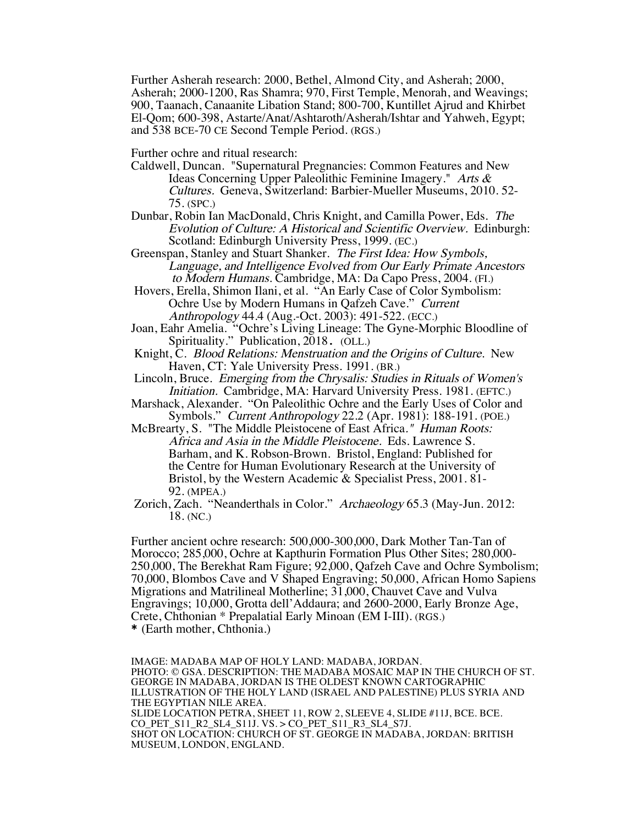Further Asherah research: 2000, Bethel, Almond City, and Asherah; 2000, Asherah; 2000-1200, Ras Shamra; 970, First Temple, Menorah, and Weavings; 900, Taanach, Canaanite Libation Stand; 800-700, Kuntillet Ajrud and Khirbet El-Qom; 600-398, Astarte/Anat/Ashtaroth/Asherah/Ishtar and Yahweh, Egypt; and 538 BCE-70 CE Second Temple Period. (RGS.)

Further ochre and ritual research:

- Caldwell, Duncan. "Supernatural Pregnancies: Common Features and New Ideas Concerning Upper Paleolithic Feminine Imagery." Arts & Cultures. Geneva, Switzerland: Barbier-Mueller Museums, 2010. 52- 75. (SPC.)
- Dunbar, Robin Ian MacDonald, Chris Knight, and Camilla Power, Eds. The Evolution of Culture: A Historical and Scientific Overview. Edinburgh: Scotland: Edinburgh University Press, 1999. (EC.)
- Greenspan, Stanley and Stuart Shanker. The First Idea: How Symbols, Language, and Intelligence Evolved from Our Early Primate Ancestors to Modern Humans. Cambridge, MA: Da Capo Press, 2004. (FI.)

Hovers, Erella, Shimon Ilani, et al. "An Early Case of Color Symbolism: Ochre Use by Modern Humans in Qafzeh Cave." Current Anthropology 44.4 (Aug.-Oct. 2003): 491-522. (ECC.)

- Joan, Eahr Amelia. "Ochre's Living Lineage: The Gyne-Morphic Bloodline of Spirituality." Publication, 2018. (OLL.)
- Knight, C. Blood Relations: Menstruation and the Origins of Culture. New Haven, CT: Yale University Press. 1991. (BR.)
- Lincoln, Bruce. Emerging from the Chrysalis: Studies in Rituals of Women's Initiation. Cambridge, MA: Harvard University Press. 1981. (EFTC.)
- Marshack, Alexander. "On Paleolithic Ochre and the Early Uses of Color and Symbols." Current Anthropology 22.2 (Apr. 1981): 188-191. (POE.)
- McBrearty, S. "The Middle Pleistocene of East Africa." Human Roots: Africa and Asia in the Middle Pleistocene. Eds. Lawrence S. Barham, and K. Robson-Brown. Bristol, England: Published for the Centre for Human Evolutionary Research at the University of Bristol, by the Western Academic & Specialist Press, 2001. 81- 92. (MPEA.)
- Zorich, Zach. "Neanderthals in Color." Archaeology 65.3 (May-Jun. 2012: 18. (NC.)

Further ancient ochre research: 500,000-300,000, Dark Mother Tan-Tan of Morocco; 285,000, Ochre at Kapthurin Formation Plus Other Sites; 280,000- 250,000, The Berekhat Ram Figure; 92,000, Qafzeh Cave and Ochre Symbolism; 70,000, Blombos Cave and V Shaped Engraving; 50,000, African Homo Sapiens Migrations and Matrilineal Motherline; 31,000, Chauvet Cave and Vulva Engravings; 10,000, Grotta dell'Addaura; and 2600-2000, Early Bronze Age, Crete, Chthonian \* Prepalatial Early Minoan (EM I-III). (RGS.) \* (Earth mother, Chthonia.)

IMAGE: MADABA MAP OF HOLY LAND: MADABA, JORDAN. PHOTO: © GSA. DESCRIPTION: THE MADABA MOSAIC MAP IN THE CHURCH OF ST. GEORGE IN MADABA, JORDAN IS THE OLDEST KNOWN CARTOGRAPHIC ILLUSTRATION OF THE HOLY LAND (ISRAEL AND PALESTINE) PLUS SYRIA AND THE EGYPTIAN NILE AREA. SLIDE LOCATION PETRA, SHEET 11, ROW 2, SLEEVE 4, SLIDE #11J, BCE. BCE. CO PET S11 R2 SL4 S11J. VS. > CO PET S11 R3 SL4 S7J. SHOT ON LOCATION: CHURCH OF ST. GEORGE IN MADABA, JORDAN: BRITISH MUSEUM, LONDON, ENGLAND.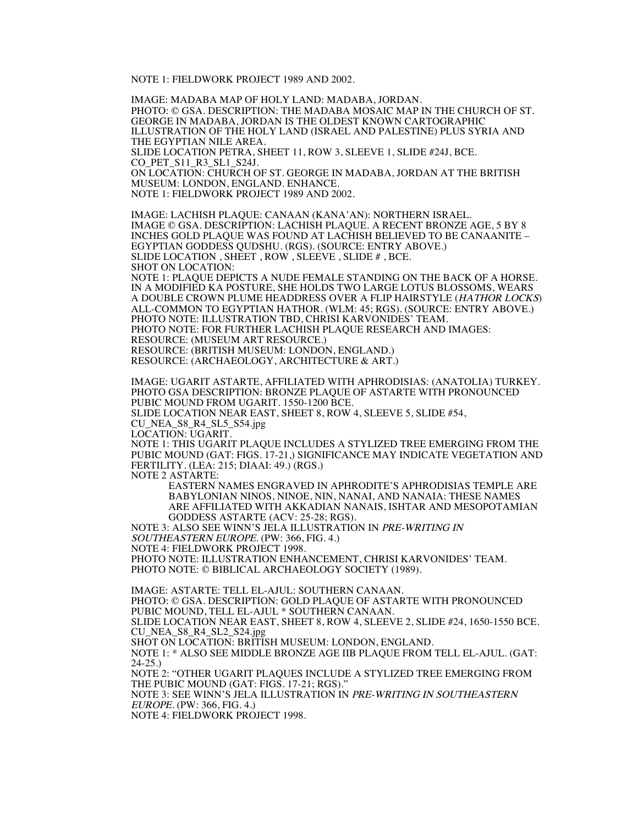NOTE 1: FIELDWORK PROJECT 1989 AND 2002.

IMAGE: MADABA MAP OF HOLY LAND: MADABA, JORDAN. PHOTO: © GSA. DESCRIPTION: THE MADABA MOSAIC MAP IN THE CHURCH OF ST. GEORGE IN MADABA, JORDAN IS THE OLDEST KNOWN CARTOGRAPHIC ILLUSTRATION OF THE HOLY LAND (ISRAEL AND PALESTINE) PLUS SYRIA AND THE EGYPTIAN NILE AREA. SLIDE LOCATION PETRA, SHEET 11, ROW 3, SLEEVE 1, SLIDE #24J, BCE. CO\_PET\_S11\_R3\_SL1\_S24J. ON LOCATION: CHURCH OF ST. GEORGE IN MADABA, JORDAN AT THE BRITISH MUSEUM: LONDON, ENGLAND. ENHANCE. NOTE 1: FIELDWORK PROJECT 1989 AND 2002.

IMAGE: LACHISH PLAQUE: CANAAN (KANA'AN): NORTHERN ISRAEL. IMAGE © GSA. DESCRIPTION: LACHISH PLAQUE. A RECENT BRONZE AGE, 5 BY 8 INCHES GOLD PLAQUE WAS FOUND AT LACHISH BELIEVED TO BE CANAANITE – EGYPTIAN GODDESS QUDSHU. (RGS). (SOURCE: ENTRY ABOVE.) SLIDE LOCATION , SHEET , ROW , SLEEVE , SLIDE # , BCE. SHOT ON LOCATION: NOTE 1: PLAQUE DEPICTS A NUDE FEMALE STANDING ON THE BACK OF A HORSE. IN A MODIFIED KA POSTURE, SHE HOLDS TWO LARGE LOTUS BLOSSOMS, WEARS A DOUBLE CROWN PLUME HEADDRESS OVER A FLIP HAIRSTYLE (HATHOR LOCKS) ALL-COMMON TO EGYPTIAN HATHOR. (WLM: 45; RGS). (SOURCE: ENTRY ABOVE.) PHOTO NOTE: ILLUSTRATION TBD, CHRISI KARVONIDES' TEAM. PHOTO NOTE: FOR FURTHER LACHISH PLAQUE RESEARCH AND IMAGES: RESOURCE: (MUSEUM ART RESOURCE.) RESOURCE: (BRITISH MUSEUM: LONDON, ENGLAND.)

RESOURCE: (ARCHAEOLOGY, ARCHITECTURE & ART.)

IMAGE: UGARIT ASTARTE, AFFILIATED WITH APHRODISIAS: (ANATOLIA) TURKEY. PHOTO GSA DESCRIPTION: BRONZE PLAQUE OF ASTARTE WITH PRONOUNCED PUBIC MOUND FROM UGARIT. 1550-1200 BCE. SLIDE LOCATION NEAR EAST, SHEET 8, ROW 4, SLEEVE 5, SLIDE #54,

CU\_NEA\_S8\_R4\_SL5\_S54.jpg<br>LOCATION: UGARIT.

NOTE 1: THIS UGARIT PLAQUE INCLUDES A STYLIZED TREE EMERGING FROM THE PUBIC MOUND (GAT: FIGS. 17-21,) SIGNIFICANCE MAY INDICATE VEGETATION AND FERTILITY. (LEA: 215; DIAAI: 49.) (RGS.) NOTE 2 ASTARTE:

EASTERN NAMES ENGRAVED IN APHRODITE'S APHRODISIAS TEMPLE ARE BABYLONIAN NINOS, NINOE, NIN, NANAI, AND NANAIA: THESE NAMES ARE AFFILIATED WITH AKKADIAN NANAIS, ISHTAR AND MESOPOTAMIAN GODDESS ASTARTE (ACV: 25-28; RGS).

NOTE 3: ALSO SEE WINN'S JELA ILLUSTRATION IN PRE-WRITING IN SOUTHEASTERN EUROPE. (PW: 366, FIG. 4.)

NOTE 4: FIELDWORK PROJECT 1998.

PHOTO NOTE: ILLUSTRATION ENHANCEMENT, CHRISI KARVONIDES' TEAM. PHOTO NOTE: © BIBLICAL ARCHAEOLOGY SOCIETY (1989).

IMAGE: ASTARTE: TELL EL-AJUL: SOUTHERN CANAAN. PHOTO: © GSA. DESCRIPTION: GOLD PLAQUE OF ASTARTE WITH PRONOUNCED PUBIC MOUND, TELL EL-AJUL \* SOUTHERN CANAAN. SLIDE LOCATION NEAR EAST, SHEET 8, ROW 4, SLEEVE 2, SLIDE #24, 1650-1550 BCE.

CU\_NEA\_S8\_R4\_SL2\_S24.jpg

SHOT ON LOCATION: BRITISH MUSEUM: LONDON, ENGLAND.

NOTE 1: \* ALSO SEE MIDDLE BRONZE AGE IIB PLAQUE FROM TELL EL-AJUL. (GAT: 24-25.)

NOTE 2: "OTHER UGARIT PLAQUES INCLUDE A STYLIZED TREE EMERGING FROM THE PUBIC MOUND (GAT: FIGS. 17-21; RGS)."

NOTE 3: SEE WINN'S JELA ILLUSTRATION IN PRE-WRITING IN SOUTHEASTERN EUROPE. (PW: 366, FIG. 4.)

NOTE 4: FIELDWORK PROJECT 1998.